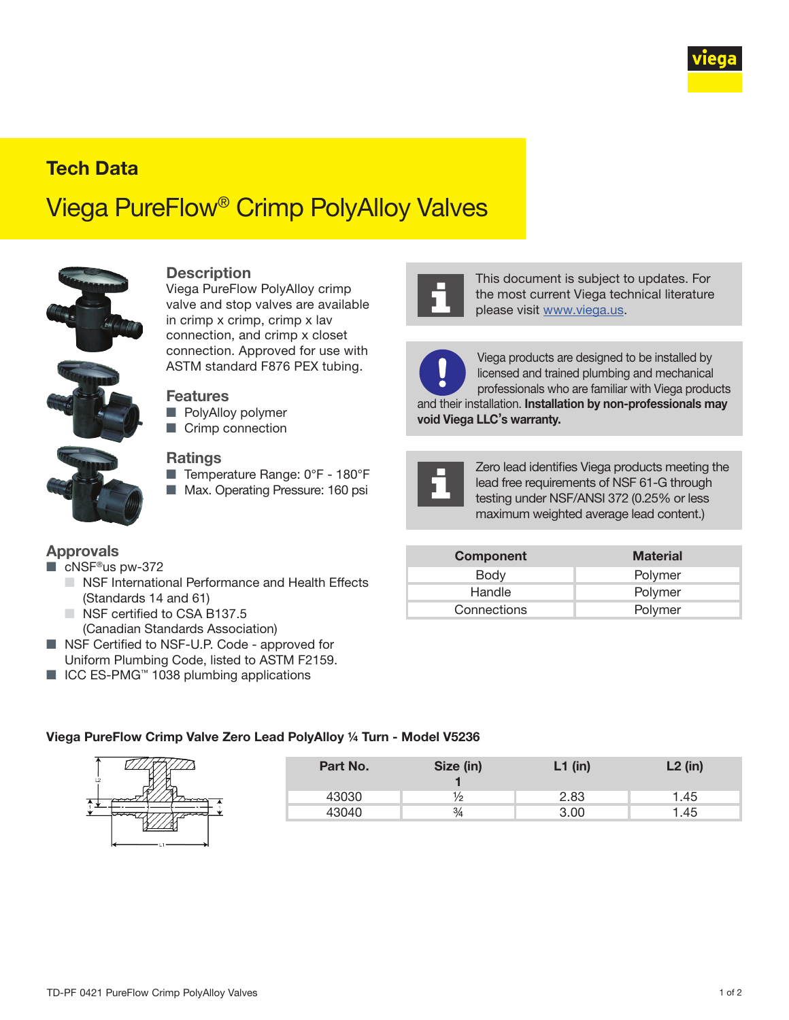

## Tech Data

# Viega PureFlow® Crimp PolyAlloy Valves



#### **Description**

Viega PureFlow PolyAlloy crimp valve and stop valves are available in crimp x crimp, crimp x lav connection, and crimp x closet connection. Approved for use with ASTM standard F876 PEX tubing.

#### **Features**

- PolyAlloy polymer
- Crimp connection

#### **Ratings**

- Temperature Range: 0°F 180°F
- Max. Operating Pressure: 160 psi



This document is subject to updates. For the most current Viega technical literature please visit [www.viega.us](http://www.viega.us).



Viega products are designed to be installed by licensed and trained plumbing and mechanical professionals who are familiar with Viega products and their installation. Installation by non-professionals may void Viega LLC's warranty.



Zero lead identifies Viega products meeting the lead free requirements of NSF 61-G through testing under NSF/ANSI 372 (0.25% or less maximum weighted average lead content.)

| <b>Approvals</b>                                             |  |
|--------------------------------------------------------------|--|
| $\blacksquare$ $\land$ $\blacksquare$ $\land$ $\blacksquare$ |  |

- cNSF®us pw-372
	- NSF International Performance and Health Effects (Standards 14 and 61)
	- NSF certified to CSA B137.5 (Canadian Standards Association)
- NSF Certified to NSF-U.P. Code approved for Uniform Plumbing Code, listed to ASTM F2159.
- ICC ES-PMG<sup>™</sup> 1038 plumbing applications

### Approvals **Approvals** Component Material Body **Polymer** Handle **Polymer** Connections **Polymer**

#### Viega PureFlow Crimp Valve Zero Lead PolyAlloy ¼ Turn - Model V5236



| Part No. | Size (in)     | $L1$ (in) | $L2$ (in) |
|----------|---------------|-----------|-----------|
| 43030    | 1⁄2           | 2.83      | 1.45      |
| 43040    | $\frac{3}{4}$ | 3.00      | 1.45      |